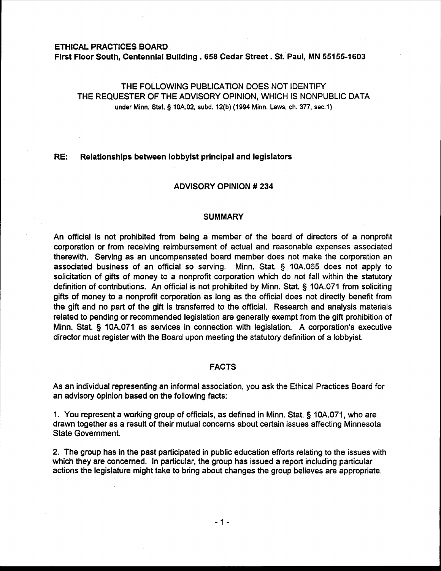#### ETHICAL PRACTICES BOARD

First Floor South, Centennial Building . **658** Cedar Street . St. Paul, MN **55155-1603** 

# THE FOLLOWING PUBLICATION DOES NOT IDENTIFY THE REQUESTER OF THE ADVISORY OPINION, WHICH IS NONPUBLIC DATA **under Minn. Stat. 3 10A.02, subd. 12(b) (1994 Minn. Laws, ch. 377, sec.1)**

## **RE:** Relationships between lobbyist principal and legislators

## ADVISORY OPINION # 234

## **SUMMARY**

An official is not prohibited from being a member of the board of directors of a nonprofit corporation or from receiving reimbursement of actual and reasonable expenses associated therewith. Serving as an uncompensated board member does not make the corporation an associated business of an official so serving. Minn. Stat. § 10A.065 does not apply to solicitation of gifts of money to a nonprofit corporation which do not fall within the statutory definition of contributions. An official is not prohibited by Minn. Stat. § 10A.071 from soliciting gifts of money to a nonprofit corporation as long as the official does not directly benefit from the gift and no part of the gift is transferred to the official. Research and analysis materials related to pending or recommended legislation are generally exempt from the gift prohibition of Minn. Stat. 3 10A.071 as services in connection with legislation. A corporation's executive director must register with the Board upon meeting the statutory definition of a lobbyist.

## FACTS

As an individual representing an informal association, you ask the Ethical Practices Board for an advisory Opinion based on the following facts:

1. You represent a working group of officials, as defined in Minn. Stat. § 10A.071, who are drawn together as a result of their mutual concerns about certain issues affecting Minnesota State Government.

2. The group has in the past participated in public education efforts relating to the issues with which they are concerned. In particular, the group has issued a report including particular actions the legislature might take to bring about changes the group believes are appropriate.

- 1 -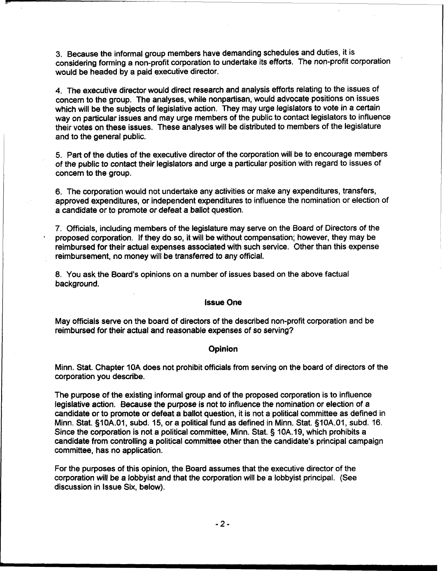3. Because the informal group members have demanding schedules and duties, it is considering forming a non-profit corporation to undertake its efforts. The non-profit corporation would be headed by a paid executive director.

4. The executive director would direct research and analysis efforts relating to the issues of concern to the group. The analyses, while nonpartisan, would advocate positions on issues which will be the subjects of legislative action. They may urge legislators to vote in a certain way on particular issues and may urge members of the public to contact legislators to influence their votes on these issues. These analyses will be distributed to members of the legislature and to the general public.

5. Part of the duties of the executive director of the corporation will be to encourage members of the public to contact their legislators and urge a particular position with regard to issues of concern to the group.

6. The corporation would not undertake any activities or make any expenditures, transfers, approved expenditures, or independent expenditures to influence the nomination or election of a candidate or to promote or defeat a ballot question.

7. Officials, including members of the legislature may serve on the Board of Directors of the proposed corporation. If they do so, it will be without compensation; however, they may be reimbursed for their actual expenses associated with such service. Other than this expense reimbursement, no money will be transferred to any official.

8. You ask the Board's opinions on a number of issues based on the above factual background.

#### lssue One

May officials serve on the board of directors of the described non-profit corporation and be reimbursed for their actual and reasonable expenses of so serving?

#### Opinion

Minn. Stat. Chapter 10A does not prohibit officials from serving on the board of directors of the corporation you describe.

The purpose of the existing informal group and of the proposed corporation is to influence legislative action. Because the purpose is not to influence the nomination or election of a candidate or to promote or defeat a ballot question, it is not a political committee as defined in Minn. Stat. §10A.01, subd. 15, or a political fund as defined in Minn. Stat. §10A.01, subd. 16. Since the corporation is not a political committee, Minn. Stat. § 10A.19, which prohibits a candidate from controlling a political committee other than the candidate's principal campaign committee, has no application.

For the purposes of this opinion, the Board assumes that the executive director of the corporation will be a lobbyist and that the corporation will be a lobbyist principal. (See discussion in lssue Six, below).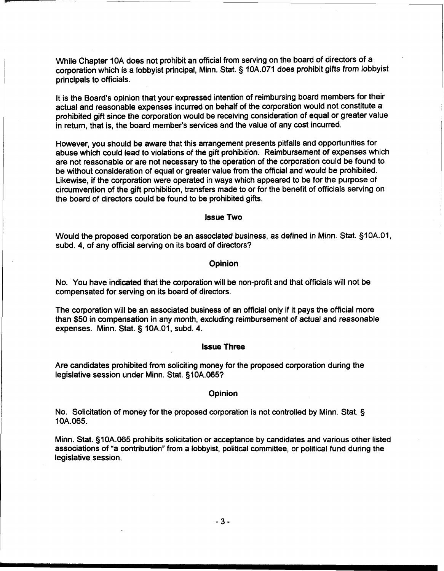While Chapter 10A does not prohibit an official from serving on the board of directors of a corporation which is a lobbyist principal, Minn. Stat. § 10A.071 does prohibit gifts from lobbyist principals to officials.

It is the Board's opinion that your expressed intention of reimbursing board members for their actual and reasonable expenses incurred on behalf of the corporation would not constitute a prohibited gift since the corporation would be receiving consideration of equal or greater value in return, that is, the board member's services and the value of any cost incurred.

However, you should be aware that this arrangement presents pitfalls and opportunities for abuse which could lead to violations of the gift prohibition. Reimbursement of expenses which are not reasonable or are not necessary to the operation of the corporation could be found to be without consideration of equal or greater value from the official and would be prohibited. Likewise, if the corporation were operated in ways which appeared to be for the purpose of circumvention of the gift prohibition, transfers made to or for the benefit of officials serving on the board of directors could be found to be prohibited gifts.

## lssue **Two**

Would the proposed corporation be an associated business, as defined in Minn. Stat. §10A.01, subd. 4, of any official serving on its board of directors?

## **Opinion**

No. You have indicated that the corporation will be non-profit and that officials will not be compensated for serving on its board of directors.

The corporation will be an associated business of an official only if it pays the official more than \$50 in compensation in any month, excluding reimbursement of actual and reasonable expenses. Minn. Stat. § 10A.01, subd. 4.

## lssue Three

Are candidates prohibited from soliciting money for the proposed corporation during the legislative session under Minn. Stat. §10A.065?

#### **Opinion**

No. Solicitation of money for the proposed corporation is not controlled by Minn. Stat. § 1 OA.065.

Minn. Stat. §10A.065 prohibits solicitation or acceptance by candidates and various other listed associations of "a contribution" from a lobbyist, political committee, or political fund during the legislative session.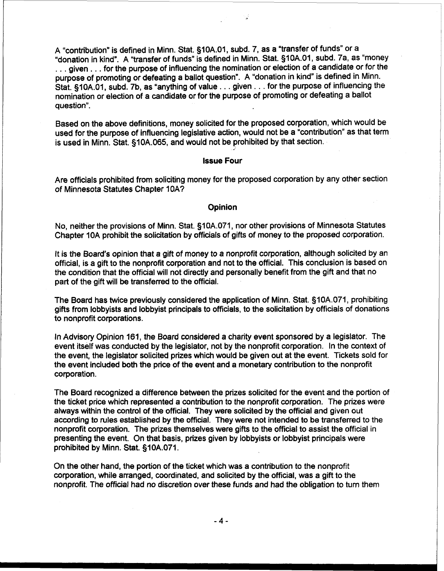A "contribution" is defined in Minn. Stat. §10A.01, subd. 7, as a "transfer of funds" or a "donation in kind". A "transfer of funds" is defined in Minn. Stat. §10A.01, subd. 7a, as "money . . . given . . . for the purpose of influencing the nomination or election of a candidate or for the purpose of promoting or defeating a ballot question". A "donation in kind" is defined in Minn. Stat. §10A.01, subd. 7b, as "anything of value . . . given . . . for the purpose of influencing the nomination or election of a candidate or for the purpose of promoting or defeating a ballot question".

Based on the above definitions, money solicited for the proposed corporation, which would be used for the purpose of influencing legislative action, would not be a "contribution" as that term is used in Minn. Stat. §10A.065, and would not be prohibited by that section.

#### **Issue Four**

Are officials prohibited from soliciting money for the proposed corporation by any other section of Minnesota Statutes Chapter 10A?

### **Opinion**

No, neither the provisions of Minn. Stat. §10A.071, nor other provisions of Minnesota Statutes Chapter 10A prohibit the solicitation by officials of gifts of money to the proposed corporation.

It is the Board's opinion that a gift of money to a nonprofit corporation, although solicited by an official, is a gift to the nonprofit corporation and not to the official. This conclusion is based on the condition that the official will not directly and personally benefit from the gift and that no part of the gift will be transferred to the official.

The Board has twice previously considered the application of Minn. Stat. §10A.071, prohibiting gifts from lobbyists and lobbyist principals to officials, to the solicitation by officials of donations to nonprofit corporations.

In Advisory Opinion 161, the Board considered a charity event sponsored by a legislator. The event itself was conducted by the legislator, not by the nonprofit corporation. In the context of the event, the legislator solicited prizes which would be given out at the event. Tickets sold for the event included both the price of the event and a monetary contribution to the nonprofit corporation.

The Board recognized a difference between the prizes solicited for the event and the portion of the ticket price which represented a contribution to the nonprofit corporation. The prizes were always within the control of the official. They were solicited by the official and given out according to rules established by the official. They were not intended to be transferred to the nonprofit corporation. The prizes themselves were gifts to the official to assist the official in presenting the event. On that basis, prizes given by lobbyists or lobbyist principals were prohibited by Minn. Stat. §10A.071.

On the other hand, the portion of the ticket which was a contribution to the nonprofit corporation, while arranged, coordinated, and solicited by the official, was a gift to the nonprofit. The official had no discretion over these funds and had the obligation to turn them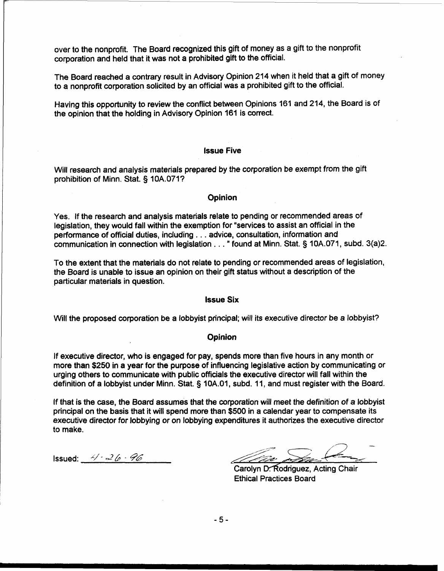over to the nonprofit. The Board recognized this gift of money as a gift to the nonprofit corporation and held that it was not a prohibited gift to the official.

The Board reached a contrary result in Advisory Opinion 214 when it held that a gift of money to a nonprofit corporation solicited by an official was a prohibited gift to the official.

Having this opportunity to review the conflict between Opinions 161 and 214, the Board is of the opinion that the holding in Advisory Opinion 161 is correct.

## **Issue Five**

Will research and analysis materials prepared by the corporation be exempt from the gift prohibition of Minn. Stat. § 10A.071?

## **Opinion**

Yes. If the research and analysis materials relate to pending or recommended areas of legislation, they would fall within the exemption for "services to assist an official in the performance of official duties, including . . . advice, consultation, information and communication in connection with legislation . . . " found at Minn. Stat. § 10A.071, subd. **3(a)2.** 

To the extent that the materials do not relate to pending or recommended areas of legislation, the Board is unable to issue an opinion on their gift status without a description of the particular materials in question.

#### **lssue Six**

Will the proposed corporation be a lobby ist principal; will its executive director be a lobby ist?

## **Opinion**

If executive director, who is engaged for pay, spends more than five hours in any month or more than \$250 in a year for the purpose of influencing legislative action by communicating or urging others to communicate with public officials the executive director will fall within the definition of a lobbyist under Minn. Stat. § 10A.01, subd. 11, and must register with the Board.

If that is the case, the Board assumes that the corporation will meet the definition of a lobbyist principal on the basis that it will spend more than \$500 in a calendar year to compensate its executive director for lobbying or on lobbying expenditures it authorizes the executive director to make.

Issued:  $4/4-26-96$ 

Carolyn D. Rodriguez, Acting Chair Ethical Practices Board

 $-5-$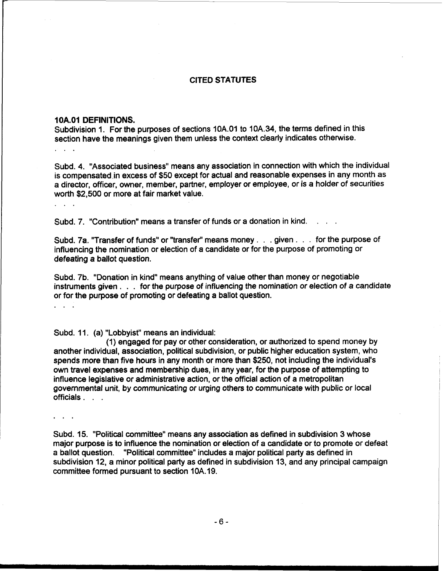# CITED STATUTES

### **1 OA.O1 DEFINITIONS.**

Subdivision 1. For the purposes of sections 10A.01 to 10A.34, the terms defined in this section have the meanings given them unless the context clearly indicates otherwise.  $\mathbf{r}$  . .

Subd. 4. "Associated business" means any association in connection with which the individual is compensated in excess of \$50 except for actual and reasonable expenses in any month as a director, officer, owner, member, partner, employer or employee, or is a holder of securities worth \$2,500 or more at fair market value.

Subd. 7. "Contribution" means a transfer of funds or a donation in kind.

Subd. 7a. "Transfer of funds" or "transfer" means money . . . given . . . for the purpose of influencing the nomination or election of a candidate or for the purpose of promoting or defeating a ballot question.

Subd. 76. "Donation in kind" means anything of value other than money or negotiable instruments given . . . for the purpose of influencing the nomination or election of a candidate or for the purpose of promoting or defeating a ballot question.

. . .

Subd. 11. (a) "Lobbyist" means an individual:

(1) engaged for pay or other consideration, or authorized to spend money by another individual, association, political subdivision, or public higher education system, who spends more than five hours in any month or mare than \$250, not including the individual's own travel expenses and membership dues, in any year, for the purpose of attempting to influence legislative or administrative action, or the official action of a metropolitan governmental unit, by communicating or urging others to communicate with public or local officials . . .

Subd. 15. "Political committee" means any association as defined in subdivision 3 whose major purpose is to influence the nomination or election of a candidate or to promote or defeat a ballot question. "Political committee" includes a major political party as defined in subdivision 12, a minor political party as defined in subdivision 13, and any principal campaign committee formed pursuant to section 10A. 19.